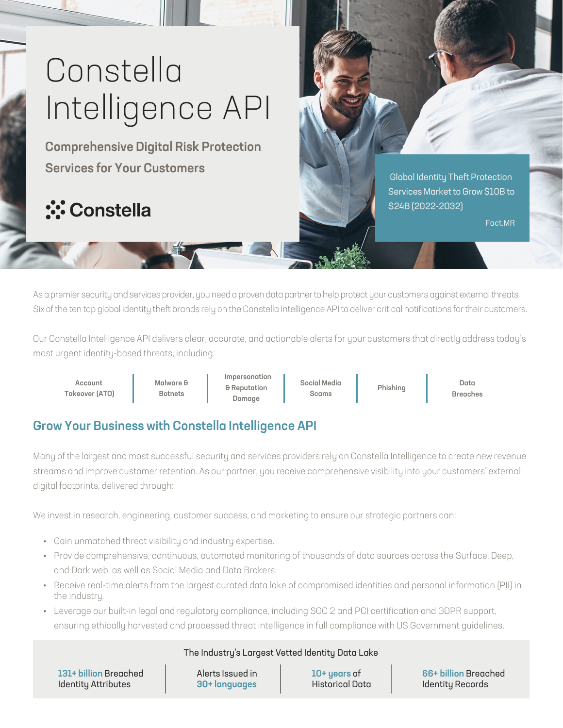# Constella Intelligence API

Comprehensive Digital Risk Protection Services for Your Customers

## **<u>:</u>** Constella

 Global Identity Theft Protection Services Market to Grow \$10B to \$24B (2022-2032)

Fact.MR

As a premier security and services provider, you need a proven data partner to help protect your customers against external threats. Six of the ten top global identity theft brands rely on the Constella Intelligence API to deliver critical notifications for their customers.

Our Constella Intelligence API delivers clear, accurate, and actionable alerts for your customers that directly address today's most urgent identity-based threats, including:

Account Takeover (ATO) Malware & Botnets

Impersonation & Reputation Damage

Social Media Scams

Phishing

Data Breaches

### Grow Your Business with Constella Intelligence API

Many of the largest and most successful security and services providers rely on Constella Intelligence to create new revenue streams and improve customer retention. As our partner, you receive comprehensive visibility into your customers' external digital footprints, delivered through:

We invest in research, engineering, customer success, and marketing to ensure our strategic partners can:

- Gain unmatched threat visibility and industry expertise.
- Provide comprehensive, continuous, automated monitoring of thousands of data sources across the Surface, Deep, and Dark web, as well as Social Media and Data Brokers.
- Receive real-time alerts from the largest curated data lake of compromised identities and personal information (PII) in the industry.
- Leverage our built-in legal and regulatory compliance, including SOC 2 and PCI certification and GDPR support, ensuring ethically harvested and processed threat intelligence in full compliance with US Government guidelines.

#### The Industry's Largest Vetted Identity Data Lake

131+ billion Breached Identity Attributes

Alerts Issued in 30+ languages

10+ years of Historical Data 66+ billion Breached Identity Records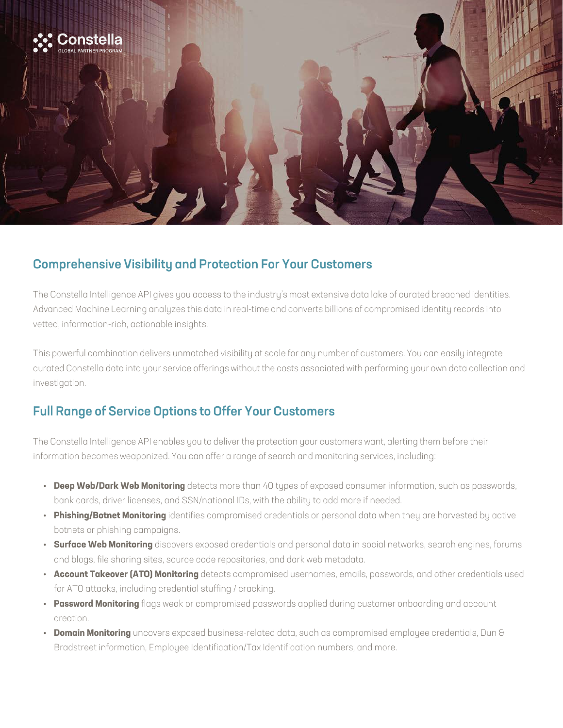

#### Comprehensive Visibility and Protection For Your Customers

The Constella Intelligence API gives you access to the industry's most extensive data lake of curated breached identities. Advanced Machine Learning analyzes this data in real-time and converts billions of compromised identity records into vetted, information-rich, actionable insights.

This powerful combination delivers unmatched visibility at scale for any number of customers. You can easily integrate curated Constella data into your service offerings without the costs associated with performing your own data collection and investigation.

#### Full Range of Service Options to Offer Your Customers

The Constella Intelligence API enables you to deliver the protection your customers want, alerting them before their information becomes weaponized. You can offer a range of search and monitoring services, including:

- **Deep Web/Dark Web Monitoring** detects more than 40 types of exposed consumer information, such as passwords, bank cards, driver licenses, and SSN/national IDs, with the ability to add more if needed.
- **Phishing/Botnet Monitoring** identifies compromised credentials or personal data when they are harvested by active botnets or phishing campaigns.
- **Surface Web Monitoring** discovers exposed credentials and personal data in social networks, search engines, forums and blogs, file sharing sites, source code repositories, and dark web metadata.
- **Account Takeover (ATO) Monitoring** detects compromised usernames, emails, passwords, and other credentials used for ATO attacks, including credential stuffing / cracking.
- **Password Monitoring** flags weak or compromised passwords applied during customer onboarding and account creation.
- **Domain Monitoring** uncovers exposed business-related data, such as compromised employee credentials, Dun & Bradstreet information, Employee Identification/Tax Identification numbers, and more.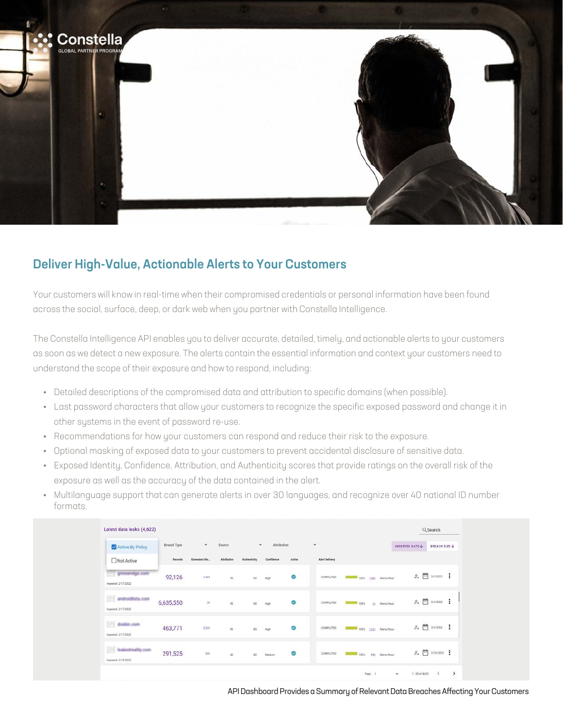

#### Deliver High-Value, Actionable Alerts to Your Customers

Your customers will know in real-time when their compromised credentials or personal information have been found across the social, surface, deep, or dark web when you partner with Constella Intelligence.

The Constella Intelligence API enables you to deliver accurate, detailed, timely, and actionable alerts to your customers as soon as we detect a new exposure. The alerts contain the essential information and context your customers need to understand the scope of their exposure and how to respond, including:

- Detailed descriptions of the compromised data and attribution to specific domains (when possible).
- Last password characters that allow your customers to recognize the specific exposed password and change it in other systems in the event of password re-use.
- Recommendations for how your customers can respond and reduce their risk to the exposure.
- Optional masking of exposed data to your customers to prevent accidental disclosure of sensitive data.
- Exposed Identity, Confidence, Attribution, and Authenticity scores that provide ratings on the overall risk of the exposure as well as the accuracy of the data contained in the alert.
- Multilanguage support that can generate alerts in over 30 languages, and recognize over 40 national ID number formats.

| Latest data leaks (4,622)                     |             |                |                    |                          |                |            |                             |                                  |                          | Q Search                        |               |
|-----------------------------------------------|-------------|----------------|--------------------|--------------------------|----------------|------------|-----------------------------|----------------------------------|--------------------------|---------------------------------|---------------|
| Active By Policy                              | Breach Type | ×.             | Source             | $\mathcal{P}_\mathrm{c}$ | Attribution    |            |                             |                                  | INGESTED DATE            | BREACH SIZE                     |               |
| Not Active                                    | Records     | Generated Ale. | <b>Attribution</b> |                          | Confidence     | Active     | <b>Alert Delivery</b>       |                                  |                          |                                 |               |
| 23 glorismage com<br>Ingested: 2/17/2022      | 92,126      | 7,464          | $90\,$             | $90\,$                   | High           | ö<br>90    | COMPLETED                   | 100% 7,443 Alerts/Hour-          |                          | $2x \nightharpoonup$ 3/2/2022 : |               |
| [23] andmidlista.com<br>Ingested: 2/17/2022   | 6,635,550   | 24             | 90                 | $_{\rm 90}$              | $\mu_{\rm Qb}$ | Ø          | COMPLETED                   | 24 Alerta/Hour<br><b>Foot</b>    |                          | $2x \nightharpoonup$ 3/2/2022 : |               |
| [25] dodilit.com<br>Ingested: 2/17/2022       | 463,771     | 2,223          | $\,90$             |                          | $15$ High      | ø          | COMPLETED                   | 2,223 Alerta/Hour-<br>$100\%$    |                          | $2x = 3/2/2022$ :               |               |
| [25] NeatonBreatTy.com<br>Ingested: 2/15/2022 | 291,525     | 550            | 40                 | 40                       | Medium         | 55.50<br>ø | nourros<br><b>COMPLETED</b> | 550 Alerta/Hour-<br><b>TOO'S</b> |                          | $2x = 272372022$                |               |
|                                               |             |                |                    |                          |                |            |                             | Page: 1                          | $1 - 20$ of $4622$<br>v. | $\epsilon$                      | $\rightarrow$ |

API Dashboard Provides a Summary of Relevant Data Breaches Affecting Your Customers